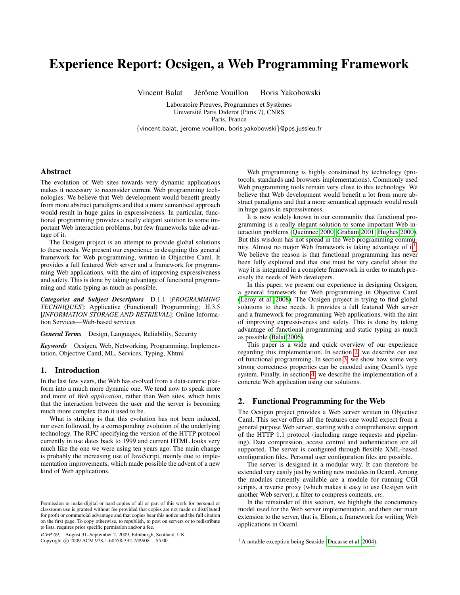# Experience Report: Ocsigen, a Web Programming Framework

Vincent Balat Jérôme Vouillon Boris Yakobowski

Laboratoire Preuves, Programmes et Systèmes Universite Paris Diderot (Paris 7), CNRS ´ Paris, France

{vincent.balat, jerome.vouillon, boris.yakobowski}@pps.jussieu.fr

## Abstract

The evolution of Web sites towards very dynamic applications makes it necessary to reconsider current Web programming technologies. We believe that Web development would benefit greatly from more abstract paradigms and that a more semantical approach would result in huge gains in expressiveness. In particular, functional programming provides a really elegant solution to some important Web interaction problems, but few frameworks take advantage of it.

The Ocsigen project is an attempt to provide global solutions to these needs. We present our experience in designing this general framework for Web programming, written in Objective Caml. It provides a full featured Web server and a framework for programming Web applications, with the aim of improving expressiveness and safety. This is done by taking advantage of functional programming and static typing as much as possible.

*Categories and Subject Descriptors* D.1.1 [*PROGRAMMING TECHNIQUES*]: Applicative (Functional) Programming; H.3.5 [*INFORMATION STORAGE AND RETRIEVAL*]: Online Information Services—Web-based services

*General Terms* Design, Languages, Reliability, Security

*Keywords* Ocsigen, Web, Networking, Programming, Implementation, Objective Caml, ML, Services, Typing, Xhtml

## 1. Introduction

In the last few years, the Web has evolved from a data-centric platform into a much more dynamic one. We tend now to speak more and more of *Web application*, rather than Web sites, which hints that the interaction between the user and the server is becoming much more complex than it used to be.

What is striking is that this evolution has not been induced, nor even followed, by a corresponding evolution of the underlying technology. The RFC specifying the version of the HTTP protocol currently in use dates back to 1999 and current HTML looks very much like the one we were using ten years ago. The main change is probably the increasing use of JavaScript, mainly due to implementation improvements, which made possible the advent of a new kind of Web applications.

ICFP'09, August 31–September 2, 2009, Edinburgh, Scotland, UK. Copyright © 2009 ACM 978-1-60558-332-7/09/08... \$5.00

Web programming is highly constrained by technology (protocols, standards and browsers implementations). Commonly used Web programming tools remain very close to this technology. We believe that Web development would benefit a lot from more abstract paradigms and that a more semantical approach would result in huge gains in expressiveness.

It is now widely known in our community that functional programming is a really elegant solution to some important Web interaction problems [\(Queinnec 2000;](#page-3-0) [Graham 2001;](#page-3-1) [Hughes 2000\)](#page-3-2). But this wisdom has not spread in the Web programming commu-nity. Almost no major Web framework is taking advantage of it<sup>[1](#page-0-0)</sup>. We believe the reason is that functional programming has never been fully exploited and that one must be very careful about the way it is integrated in a complete framework in order to match precisely the needs of Web developers.

In this paper, we present our experience in designing Ocsigen, a general framework for Web programming in Objective Caml [\(Leroy et al. 2008\)](#page-3-3). The Ocsigen project is trying to find global solutions to these needs. It provides a full featured Web server and a framework for programming Web applications, with the aim of improving expressiveness and safety. This is done by taking advantage of functional programming and static typing as much as possible [\(Balat 2006\)](#page-3-4).

This paper is a wide and quick overview of our experience regarding this implementation. In section [2,](#page-0-1) we describe our use of functional programming. In section [3,](#page-1-0) we show how some very strong correctness properties can be encoded using Ocaml's type system. Finally, in section [4,](#page-2-0) we describe the implementation of a concrete Web application using our solutions.

## <span id="page-0-1"></span>2. Functional Programming for the Web

The Ocsigen project provides a Web server written in Objective Caml. This server offers all the features one would expect from a general purpose Web server, starting with a comprehensive support of the HTTP 1.1 protocol (including range requests and pipelining). Data compression, access control and authentication are all supported. The server is configured through flexible XML-based configuration files. Personal user configuration files are possible.

The server is designed in a modular way. It can therefore be extended very easily just by writing new modules in Ocaml. Among the modules currently available are a module for running CGI scripts, a reverse proxy (which makes it easy to use Ocsigen with another Web server), a filter to compress contents, *etc.*

In the remainder of this section, we highlight the concurrency model used for the Web server implementation, and then our main extension to the server, that is, Eliom, a framework for writing Web applications in Ocaml.

Permission to make digital or hard copies of all or part of this work for personal or classroom use is granted without fee provided that copies are not made or distributed for profit or commercial advantage and that copies bear this notice and the full citation on the first page. To copy otherwise, to republish, to post on servers or to redistribute to lists, requires prior specific permission and/or a fee.

<span id="page-0-0"></span><sup>&</sup>lt;sup>1</sup> A notable exception being Seaside [\(Ducasse et al. 2004\)](#page-3-5).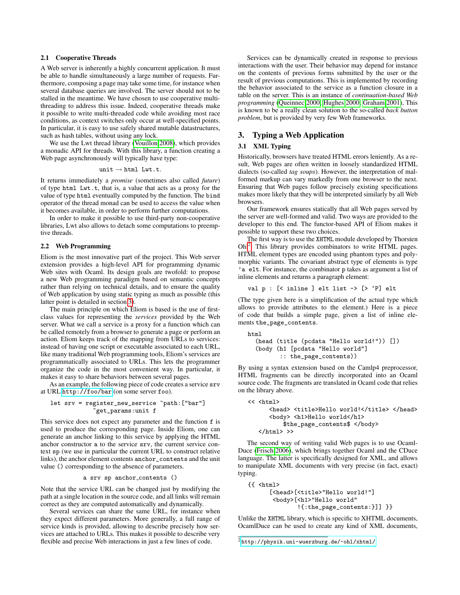## 2.1 Cooperative Threads

A Web server is inherently a highly concurrent application. It must be able to handle simultaneously a large number of requests. Furthermore, composing a page may take some time, for instance when several database queries are involved. The server should not to be stalled in the meantime. We have chosen to use cooperative multithreading to address this issue. Indeed, cooperative threads make it possible to write multi-threaded code while avoiding most race conditions, as context switches only occur at well-specified points. In particular, it is easy to use safely shared mutable datastructures, such as hash tables, without using any lock.

We use the Lwt thread library [\(Vouillon 2008\)](#page-4-0), which provides a monadic API for threads. With this library, a function creating a Web page asynchronously will typically have type:

$$
\mathtt{unit} \rightarrow \mathtt{html}\ \mathtt{Lwt.t.}
$$

It returns immediately a *promise* (sometimes also called *future*) of type html Lwt.t, that is, a value that acts as a proxy for the value of type html eventually computed by the function. The bind operator of the thread monad can be used to access the value when it becomes available, in order to perform further computations.

In order to make it possible to use third-party non-cooperative libraries, Lwt also allows to detach some computations to preemptive threads.

## <span id="page-1-2"></span>2.2 Web Programming

Eliom is the most innovative part of the project. This Web server extension provides a high-level API for programming dynamic Web sites with Ocaml. Its design goals are twofold: to propose a new Web programming paradigm based on semantic concepts rather than relying on technical details, and to ensure the quality of Web application by using static typing as much as possible (this latter point is detailed in section [3\)](#page-1-0).

The main principle on which Eliom is based is the use of firstclass values for representing the *services* provided by the Web server. What we call a service is a proxy for a function which can be called remotely from a browser to generate a page or perform an action. Eliom keeps track of the mapping from URLs to services: instead of having one script or executable associated to each URL, like many traditional Web programming tools, Eliom's services are programmatically associated to URLs. This lets the programmer organize the code in the most convenient way. In particular, it makes it easy to share behaviors between several pages.

As an example, the following piece of code creates a service srv at URL <http://foo/bar> (on some server foo).

#### let srv = register\_new\_service ~path:["bar"] ~get\_params:unit f

This service does not expect any parameter and the function f is used to produce the corresponding page. Inside Eliom, one can generate an anchor linking to this service by applying the HTML anchor constructor a to the service srv, the current service context sp (we use in particular the current URL to construct relative links), the anchor element contents anchor\_contents and the unit value () corresponding to the absence of parameters.

#### a srv sp anchor contents ()

Note that the service URL can be changed just by modifying the path at a single location in the source code, and all links will remain correct as they are computed automatically and dynamically.

Several services can share the same URL, for instance when they expect different parameters. More generally, a full range of service kinds is provided, allowing to describe precisely how services are attached to URLs. This makes it possible to describe very flexible and precise Web interactions in just a few lines of code.

Services can be dynamically created in response to previous interactions with the user. Their behavior may depend for instance on the contents of previous forms submitted by the user or the result of previous computations. This is implemented by recording the behavior associated to the service as a function closure in a table on the server. This is an instance of *continuation-based Web programming* [\(Queinnec 2000;](#page-3-0) [Hughes 2000;](#page-3-2) [Graham 2001\)](#page-3-1), This is known to be a really clean solution to the so-called *back button problem*, but is provided by very few Web frameworks.

# <span id="page-1-0"></span>3. Typing a Web Application

## 3.1 XML Typing

Historically, browsers have treated HTML errors leniently. As a result, Web pages are often written in loosely standardized HTML dialects (so-called *tag soups*). However, the interpretation of malformed markup can vary markedly from one browser to the next. Ensuring that Web pages follow precisely existing specifications makes more likely that they will be interpreted similarly by all Web browsers.

Our framework ensures statically that all Web pages served by the server are well-formed and valid. Two ways are provided to the developer to this end. The functor-based API of Eliom makes it possible to support these two choices.

The first way is to use the XHTML module developed by Thorsten Ohl<sup>[2](#page-1-1)</sup>. This library provides combinators to write HTML pages. HTML element types are encoded using phantom types and polymorphic variants. The covariant abstract type of elements is type 'a elt. For instance, the combinator p takes as argument a list of inline elements and returns a paragraph element:

val p : [< inline ] elt list -> [> 'P] elt

(The type given here is a simplification of the actual type which allows to provide attributes to the element.) Here is a piece of code that builds a simple page, given a list of inline elements the\_page\_contents.

```
html
(head (title (pcdata "Hello world!")) [])
(body (h1 [pcdata "Hello world"]
       :: the_page_contents))
```
By using a syntax extension based on the Camlp4 preprocessor, HTML fragments can be directly incorporated into an Ocaml source code. The fragments are translated in Ocaml code that relies on the library above.

```
<< < <html><head> <title>Hello world!</title> </head>
    <body> <h1>Hello world</h1>
        $the_page_contents$ </body>
 </html> >>
```
The second way of writing valid Web pages is to use Ocaml-Duce [\(Frisch 2006\)](#page-3-6), which brings together Ocaml and the CDuce language. The latter is specifically designed for XML, and allows to manipulate XML documents with very precise (in fact, exact) typing.

```
{{ <html>
    [<head>[<title>"Hello world!"]
     <body>[<h1>"Hello world"
            !{:the_page_contents:}]] }}
```
Unlike the XHTML library, which is specific to XHTML documents, OcamlDuce can be used to create any kind of XML documents,

<span id="page-1-1"></span><sup>2</sup> <http://physik.uni-wuerzburg.de/~ohl/xhtml/>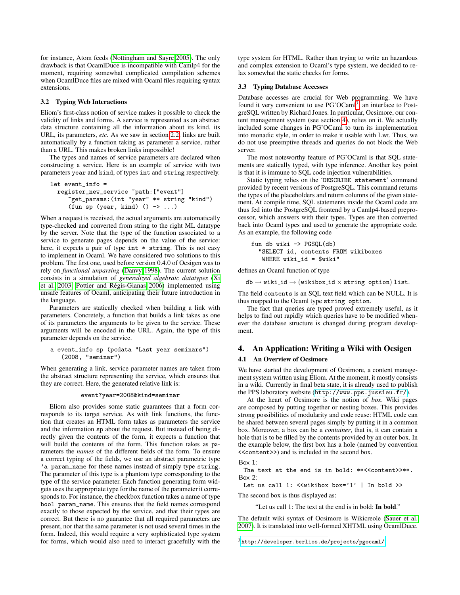for instance, Atom feeds [\(Nottingham and Sayre 2005\)](#page-3-7). The only drawback is that OcamlDuce is incompatible with Camlp4 for the moment, requiring somewhat complicated compilation schemes when OcamlDuce files are mixed with Ocaml files requiring syntax extensions.

### 3.2 Typing Web Interactions

Eliom's first-class notion of service makes it possible to check the validity of links and forms. A service is represented as an abstract data structure containing all the information about its kind, its URL, its parameters, *etc.* As we saw in section [2.2,](#page-1-2) links are built automatically by a function taking as parameter a service, rather than a URL. This makes broken links impossible!

The types and names of service parameters are declared when constructing a service. Here is an example of service with two parameters year and kind, of types int and string respectively.

```
let event_info =
register_new_service ~path:["event"]
     ~get_params:(int "year" ** string "kind")
    (\text{fun}\ \text{sp}\ (\text{year},\ \text{kind})\ () -> ...)
```
When a request is received, the actual arguments are automatically type-checked and converted from string to the right ML datatype by the server. Note that the type of the function associated to a service to generate pages depends on the value of the service: here, it expects a pair of type int \* string. This is not easy to implement in Ocaml. We have considered two solutions to this problem. The first one, used before version 0.4.0 of Ocsigen was to rely on *functional unparsing* [\(Danvy 1998\)](#page-3-8). The current solution consists in a simulation of *generalized algebraic datatypes* [\(Xi](#page-4-1) [et al. 2003;](#page-4-1) [Pottier and Regis-Gianas 2006\)](#page-3-9) implemented using ´ unsafe features of Ocaml, anticipating their future introduction in the language.

Parameters are statically checked when building a link with parameters. Concretely, a function that builds a link takes as one of its parameters the arguments to be given to the service. These arguments will be encoded in the URL. Again, the type of this parameter depends on the service.

#### a event\_info sp (pcdata "Last year seminars") (2008, "seminar")

When generating a link, service parameter names are taken from the abstract structure representing the service, which ensures that they are correct. Here, the generated relative link is:

#### event?year=2008&kind=seminar

Eliom also provides some static guarantees that a form corresponds to its target service. As with link functions, the function that creates an HTML form takes as parameters the service and the information sp about the request. But instead of being directly given the contents of the form, it expects a function that will build the contents of the form. This function takes as parameters the *names* of the different fields of the form. To ensure a correct typing of the fields, we use an abstract parametric type 'a param\_name for these names instead of simply type string. The parameter of this type is a phantom type corresponding to the type of the service parameter. Each function generating form widgets uses the appropriate type for the name of the parameter it corresponds to. For instance, the checkbox function takes a name of type bool param\_name. This ensures that the field names correspond exactly to those expected by the service, and that their types are correct. But there is no guarantee that all required parameters are present, nor that the same parameter is not used several times in the form. Indeed, this would require a very sophisticated type system for forms, which would also need to interact gracefully with the type system for HTML. Rather than trying to write an hazardous and complex extension to Ocaml's type system, we decided to relax somewhat the static checks for forms.

## 3.3 Typing Database Accesses

Database accesses are crucial for Web programming. We have found it very convenient to use PG'OCaml<sup>[3](#page-2-1)</sup>, an interface to PostgreSQL written by Richard Jones. In particular, Ocsimore, our content management system (see section [4\)](#page-2-0), relies on it. We actually included some changes in PG'OCaml to turn its implementation into monadic style, in order to make it usable with Lwt. Thus, we do not use preemptive threads and queries do not block the Web server.

The most noteworthy feature of PG'OCaml is that SQL statements are statically typed, with type inference. Another key point is that it is immune to SQL code injection vulnerabilities.

Static typing relies on the 'DESCRIBE statement' command provided by recent versions of PostgreSQL. This command returns the types of the placeholders and return columns of the given statement. At compile time, SQL statements inside the Ocaml code are thus fed into the PostgreSQL frontend by a Camlp4-based preprocessor, which answers with their types. Types are then converted back into Ocaml types and used to generate the appropriate code. As an example, the following code

```
fun db wiki -> PGSQL(db)
"SELECT id, contents FROM wikiboxes
WHERE wiki_id = $wiki"
```
defines an Ocaml function of type

 $db \rightarrow wiki\_id \rightarrow (wikibox\_id \times string \text{ option}) list.$ 

The field contents is an SQL text field which can be NULL. It is thus mapped to the Ocaml type string option.

The fact that queries are typed proved extremely useful, as it helps to find out rapidly which queries have to be modified whenever the database structure is changed during program development.

# <span id="page-2-0"></span>4. An Application: Writing a Wiki with Ocsigen

## 4.1 An Overview of Ocsimore

We have started the development of Ocsimore, a content management system written using Eliom. At the moment, it mostly consists in a wiki. Currently in final beta state, it is already used to publish the PPS laboratory website (<http://www.pps.jussieu.fr/>).

At the heart of Ocsimore is the notion of *box*. Wiki pages are composed by putting together or nesting boxes. This provides strong possibilities of modularity and code reuse: HTML code can be shared between several pages simply by putting it in a common box. Moreover, a box can be a *container*, that is, it can contain a hole that is to be filled by the contents provided by an outer box. In the example below, the first box has a hole (named by convention <<content>>) and is included in the second box.

```
Box 1:
```
The text at the end is in bold: \*\*<<content>>\*\*.  $Box 2$ 

Let us call 1:  $\langle \langle \text{wikibox box} = '1' \rangle$  | In bold >>

The second box is thus displayed as:

"Let us call 1: The text at the end is in bold: In bold."

The default wiki syntax of Ocsimore is Wikicreole [\(Sauer et al.](#page-3-10) [2007\)](#page-3-10). It is translated into well-formed XHTML using OcamlDuce.

<span id="page-2-1"></span><sup>3</sup> <http://developer.berlios.de/projects/pgocaml/>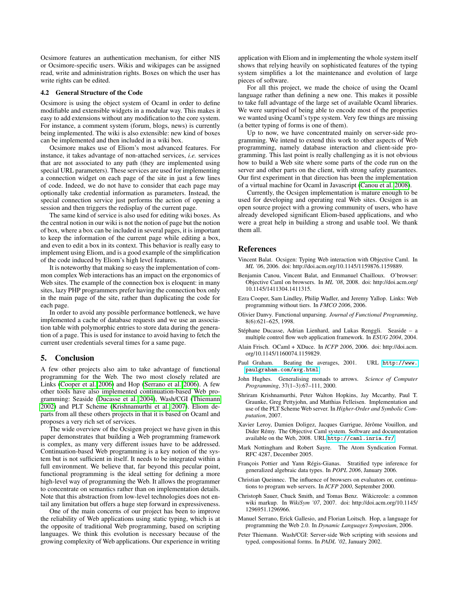Ocsimore features an authentication mechanism, for either NIS or Ocsimore-specific users. Wikis and wikipages can be assigned read, write and administration rights. Boxes on which the user has write rights can be edited.

#### 4.2 General Structure of the Code

Ocsimore is using the object system of Ocaml in order to define modifiable and extensible widgets in a modular way. This makes it easy to add extensions without any modification to the core system. For instance, a comment system (forum, blogs, news) is currently being implemented. The wiki is also extensible: new kind of boxes can be implemented and then included in a wiki box.

Ocsimore makes use of Eliom's most advanced features. For instance, it takes advantage of non-attached services, *i.e.* services that are not associated to any path (they are implemented using special URL parameters). These services are used for implementing a connection widget on each page of the site in just a few lines of code. Indeed, we do not have to consider that each page may optionally take credential information as parameters. Instead, the special connection service just performs the action of opening a session and then triggers the redisplay of the current page.

The same kind of service is also used for editing wiki boxes. As the central notion in our wiki is not the notion of page but the notion of box, where a box can be included in several pages, it is important to keep the information of the current page while editing a box, and even to edit a box in its context. This behavior is really easy to implement using Eliom, and is a good example of the simplification of the code induced by Eliom's high level features.

It is noteworthy that making so easy the implementation of common complex Web interactions has an impact on the ergonomics of Web sites. The example of the connection box is eloquent: in many sites, lazy PHP programmers prefer having the connection box only in the main page of the site, rather than duplicating the code for each page.

In order to avoid any possible performance bottleneck, we have implemented a cache of database requests and we use an association table with polymorphic entries to store data during the generation of a page. This is used for instance to avoid having to fetch the current user credentials several times for a same page.

## 5. Conclusion

A few other projects also aim to take advantage of functional programming for the Web. The two most closely related are Links [\(Cooper et al. 2006\)](#page-3-11) and Hop [\(Serrano et al. 2006\)](#page-3-12). A few other tools have also implemented continuation-based Web programming: Seaside [\(Ducasse et al. 2004\)](#page-3-5), Wash/CGI [\(Thiemann](#page-3-13) [2002\)](#page-3-13) and PLT Scheme [\(Krishnamurthi et al. 2007\)](#page-3-14). Eliom departs from all these others projects in that it is based on Ocaml and proposes a very rich set of services.

The wide overview of the Ocsigen project we have given in this paper demonstrates that building a Web programming framework is complex, as many very different issues have to be addressed. Continuation-based Web programming is a key notion of the system but is not sufficient in itself. It needs to be integrated within a full environment. We believe that, far beyond this pecular point, functional programming is the ideal setting for defining a more high-level way of programming the Web. It allows the programmer to concentrate on semantics rather than on implementation details. Note that this abstraction from low-level technologies does not entail any limitation but offers a huge step forward in expressiveness.

One of the main concerns of our project has been to improve the reliability of Web applications using static typing, which is at the opposite of traditional Web programming, based on scripting languages. We think this evolution is necessary because of the growing complexity of Web applications. Our experience in writing

application with Eliom and in implementing the whole system itself shows that relying heavily on sophisticated features of the typing system simplifies a lot the maintenance and evolution of large pieces of software.

For all this project, we made the choice of using the Ocaml language rather than defining a new one. This makes it possible to take full advantage of the large set of available Ocaml libraries. We were surprised of being able to encode most of the properties we wanted using Ocaml's type system. Very few things are missing (a better typing of forms is one of them).

Up to now, we have concentrated mainly on server-side programming. We intend to extend this work to other aspects of Web programming, namely database interaction and client-side programming. This last point is really challenging as it is not obvious how to build a Web site where some parts of the code run on the server and other parts on the client, with strong safety guarantees. Our first experiment in that direction has been the implementation of a virtual machine for Ocaml in Javascript [\(Canou et al. 2008\)](#page-3-15).

Currently, the Ocsigen implementation is mature enough to be used for developing and operating real Web sites. Ocsigen is an open source project with a growing community of users, who have already developed significant Eliom-based applications, and who were a great help in building a strong and usable tool. We thank them all.

#### References

- <span id="page-3-4"></span>Vincent Balat. Ocsigen: Typing Web interaction with Objective Caml. In *ML '06*, 2006. doi: http://doi.acm.org/10.1145/1159876.1159889.
- <span id="page-3-15"></span>Benjamin Canou, Vincent Balat, and Emmanuel Chailloux. O'browser: Objective Caml on browsers. In *ML '08*, 2008. doi: http://doi.acm.org/ 10.1145/1411304.1411315.
- <span id="page-3-11"></span>Ezra Cooper, Sam Lindley, Philip Wadler, and Jeremy Yallop. Links: Web programming without tiers. In *FMCO 2006*, 2006.
- <span id="page-3-8"></span>Olivier Danvy. Functional unparsing. *Journal of Functional Programming*, 8(6):621–625, 1998.
- <span id="page-3-5"></span>Stéphane Ducasse, Adrian Lienhard, and Lukas Renggli. Seaside - a multiple control flow web application framework. In *ESUG 2004*, 2004.
- <span id="page-3-6"></span>Alain Frisch. OCaml + XDuce. In *ICFP 2006*, 2006. doi: http://doi.acm. org/10.1145/1160074.1159829.
- <span id="page-3-1"></span>Paul Graham. Beating the averages, 2001. URL [http://www.](http://www.paulgraham.com/avg.html) [paulgraham.com/avg.html](http://www.paulgraham.com/avg.html).
- <span id="page-3-2"></span>John Hughes. Generalising monads to arrows. *Science of Computer Programming*, 37(1–3):67–111, 2000.
- <span id="page-3-14"></span>Shriram Krishnamurthi, Peter Walton Hopkins, Jay Mccarthy, Paul T. Graunke, Greg Pettyjohn, and Matthias Felleisen. Implementation and use of the PLT Scheme Web server. In *Higher-Order and Symbolic Computation*, 2007.
- <span id="page-3-3"></span>Xavier Leroy, Damien Doligez, Jacques Garrigue, Jérôme Vouillon, and Dider Rémy. The Objective Caml system. Software and documentation available on the Web, 2008. URL <http://caml.inria.fr/>.
- <span id="page-3-7"></span>Mark Nottingham and Robert Sayre. The Atom Syndication Format. RFC 4287, December 2005.
- <span id="page-3-9"></span>François Pottier and Yann Régis-Gianas. Stratified type inference for generalized algebraic data types. In *POPL 2006*, January 2006.
- <span id="page-3-0"></span>Christian Queinnec. The influence of browsers on evaluators or, continuations to program web servers. In *ICFP 2000*, September 2000.
- <span id="page-3-10"></span>Christoph Sauer, Chuck Smith, and Tomas Benz. Wikicreole: a common wiki markup. In *WikiSym '07*, 2007. doi: http://doi.acm.org/10.1145/ 1296951.1296966.
- <span id="page-3-12"></span>Manuel Serrano, Erick Gallesio, and Florian Loitsch. Hop, a language for programming the Web 2.0. In *Dynamic Languages Symposium*, 2006.
- <span id="page-3-13"></span>Peter Thiemann. Wash/CGI: Server-side Web scripting with sessions and typed, compositional forms. In *PADL '02*, January 2002.